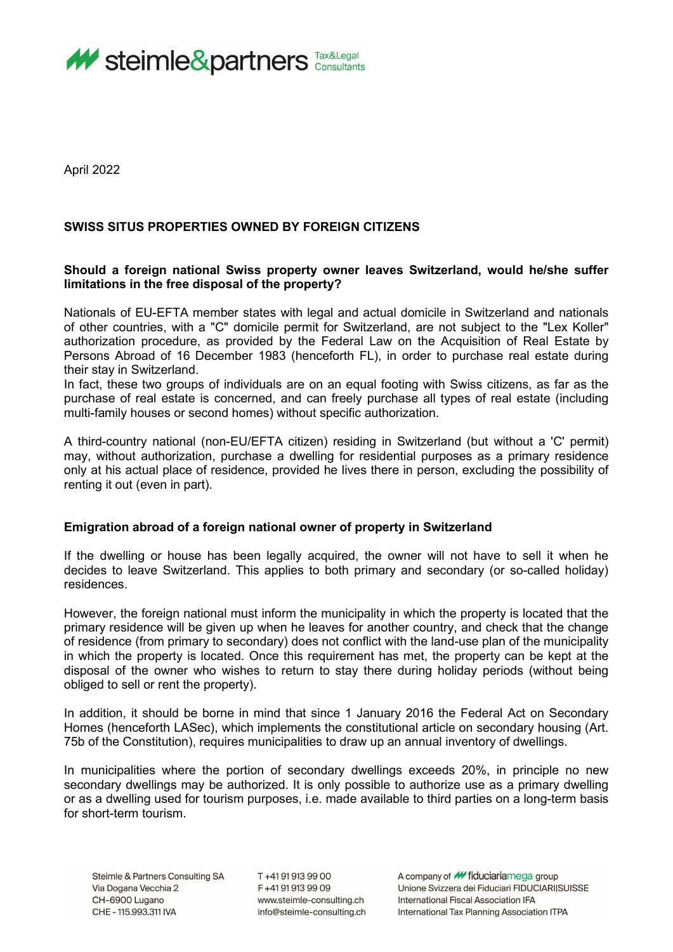

April 2022

## **SWISS SITUS PROPERTIES OWNED BY FOREIGN CITIZENS**

## **Should a foreign national Swiss property owner leaves Switzerland, would he/she suffer limitations in the free disposal of the property?**

Nationals of EU-EFTA member states with legal and actual domicile in Switzerland and nationals of other countries, with a "C" domicile permit for Switzerland, are not subject to the "Lex Koller" authorization procedure, as provided by the Federal Law on the Acquisition of Real Estate by Persons Abroad of 16 December 1983 (henceforth FL), in order to purchase real estate during their stay in Switzerland.

In fact, these two groups of individuals are on an equal footing with Swiss citizens, as far as the purchase of real estate is concerned, and can freely purchase all types of real estate (including multi-family houses or second homes) without specific authorization.

A third-country national (non-EU/EFTA citizen) residing in Switzerland (but without a 'C' permit) may, without authorization, purchase a dwelling for residential purposes as a primary residence only at his actual place of residence, provided he lives there in person, excluding the possibility of renting it out (even in part).

## **Emigration abroad of a foreign national owner of property in Switzerland**

If the dwelling or house has been legally acquired, the owner will not have to sell it when he decides to leave Switzerland. This applies to both primary and secondary (or so-called holiday) residences.

However, the foreign national must inform the municipality in which the property is located that the primary residence will be given up when he leaves for another country, and check that the change of residence (from primary to secondary) does not conflict with the land-use plan of the municipality in which the property is located. Once this requirement has met, the property can be kept at the disposal of the owner who wishes to return to stay there during holiday periods (without being obliged to sell or rent the property).

In addition, it should be borne in mind that since 1 January 2016 the Federal Act on Secondary Homes (henceforth LASec), which implements the constitutional article on secondary housing (Art. 75b of the Constitution), requires municipalities to draw up an annual inventory of dwellings.

In municipalities where the portion of secondary dwellings exceeds 20%, in principle no new secondary dwellings may be authorized. It is only possible to authorize use as a primary dwelling or as a dwelling used for tourism purposes, i.e. made available to third parties on a long-term basis for short-term tourism.

T+41919139900 F+41919139909 www.steimle-consulting.ch info@steimle-consulting.ch